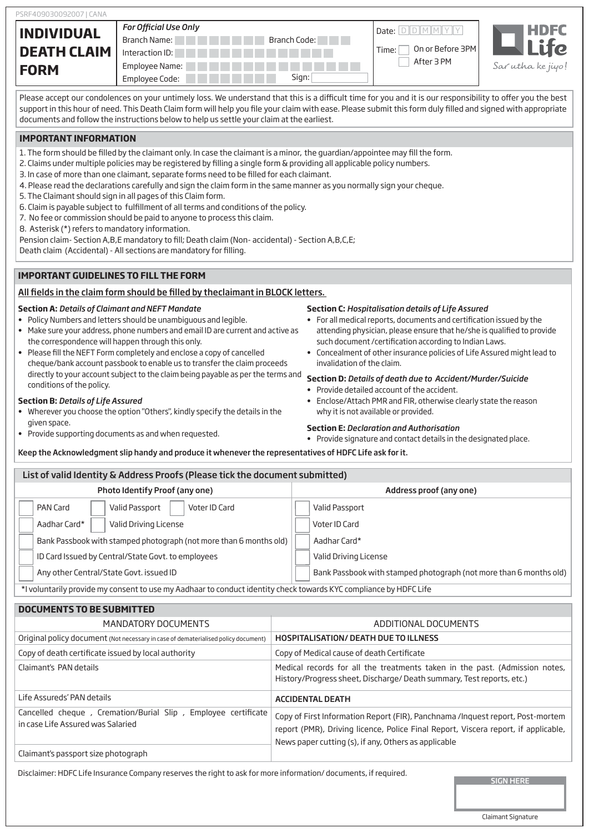| <b>INDIVIDUAL</b><br><b>DEATH CLAIM</b> | <b>For Official Use Only</b><br>Branch Name:<br>Interaction ID: | Branch Code: | Date:<br>On or Before 3PM<br>Time:<br>After 3 PM | <b>HDFC</b><br>Je |
|-----------------------------------------|-----------------------------------------------------------------|--------------|--------------------------------------------------|-------------------|
| <b>FORM</b>                             | Employee Name:<br>Employee Code:                                | Sign:        |                                                  | Sar utha ke jiyo! |

Please accept our condolences on your untimely loss. We understand that this is a difficult time for you and it is our responsibility to offer you the best support in this hour of need. This Death Claim form will help you file your claim with ease. Please submit this form duly filled and signed with appropriate documents and follow the instructions below to help us settle your claim at the earliest.

## **IMPORTANT INFORMATION**

- 1. The form should be filled by the claimant only. In case the claimant is a minor, the quardian/appointee may fill the form.
- 2. Claims under multiple policies may be registered by filling a single form & providing all applicable policy numbers.
- 3. In case of more than one claimant, separate forms need to be filled for each claimant.
- 4. Please read the declarations carefully and sign the claim form in the same manner as you normally sign your cheque.
- 5. The Claimant should sign in all pages of this Claim form.
- 6. Claim is payable subject to fulfillment of all terms and conditions of the policy.
- 7. No fee or commission should be paid to anyone to process this claim.
- 8. Asterisk (\*) refers to mandatory information.

Pension claim- Section A,B,E mandatory to fill; Death claim (Non- accidental) - Section A,B,C,E;

Death claim (Accidental) - All sections are mandatory for filling.

## **IMPORTANT GUIDELINES TO FILL THE FORM**

### All fields in the claim form should be filled by theclaimant in BLOCK letters.

## **Section A:** *Details of Claimant and NEFT Mandate*

- Policy Numbers and letters should be unambiguous and legible.
- Make sure your address, phone numbers and email ID are current and active as the correspondence will happen through this only.
- Please fill the NEFT Form completely and enclose a copy of cancelled cheque/bank account passbook to enable us to transfer the claim proceeds directly to your account subject to the claim being payable as per the terms and conditions of the policy. **Section D:** *Details of death due to Accident/Murder/Suicide*

#### **Section B:** *Details of Life Assured*

- Wherever you choose the option "Others", kindly specify the details in the given space.
- Provide supporting documents as and when requested.

#### **Section C:** *Hospitalisation details of Life Assured*

- For all medical reports, documents and certification issued by the attending physician, please ensure that he/she is qualified to provide such document /certification according to Indian Laws.
- Concealment of other insurance policies of Life Assured might lead to invalidation of the claim.

- Provide detailed account of the accident.
- Enclose/Attach PMR and FIR, otherwise clearly state the reason why it is not available or provided.

#### **Section E:** *Declaration and Authorisation*

• Provide signature and contact details in the designated place.

Keep the Acknowledgment slip handy and produce it whenever the representatives of HDFC Life ask for it.

| List of valid Identity & Address Proofs (Please tick the document submitted)                                      |                                                                                                                                                      |  |  |  |  |  |  |
|-------------------------------------------------------------------------------------------------------------------|------------------------------------------------------------------------------------------------------------------------------------------------------|--|--|--|--|--|--|
| Photo Identify Proof (any one)                                                                                    | Address proof (any one)                                                                                                                              |  |  |  |  |  |  |
| Voter ID Card<br>Valid Passport<br>PAN Card                                                                       | Valid Passport                                                                                                                                       |  |  |  |  |  |  |
| Valid Driving License<br>Aadhar Card*                                                                             | Voter ID Card                                                                                                                                        |  |  |  |  |  |  |
| Bank Passbook with stamped photograph (not more than 6 months old)                                                | Aadhar Card*                                                                                                                                         |  |  |  |  |  |  |
| ID Card Issued by Central/State Govt. to employees                                                                | Valid Driving License                                                                                                                                |  |  |  |  |  |  |
| Any other Central/State Govt. issued ID                                                                           | Bank Passbook with stamped photograph (not more than 6 months old)                                                                                   |  |  |  |  |  |  |
| *I voluntarily provide my consent to use my Aadhaar to conduct identity check towards KYC compliance by HDFC Life |                                                                                                                                                      |  |  |  |  |  |  |
| <b>DOCUMENTS TO BE SUBMITTED</b>                                                                                  |                                                                                                                                                      |  |  |  |  |  |  |
| <b>MANDATORY DOCUMENTS</b>                                                                                        | ADDITIONAL DOCUMENTS                                                                                                                                 |  |  |  |  |  |  |
| Original policy document (Not necessary in case of dematerialised policy document)                                | <b>HOSPITALISATION/ DEATH DUE TO ILLNESS</b>                                                                                                         |  |  |  |  |  |  |
| Copy of death certificate issued by local authority                                                               | Copy of Medical cause of death Certificate                                                                                                           |  |  |  |  |  |  |
| Claimant's PAN details                                                                                            | Medical records for all the treatments taken in the past. (Admission notes,<br>History/Progress sheet, Discharge/ Death summary, Test reports, etc.) |  |  |  |  |  |  |

| Life Assureds' PAN details                                                                         | <b>ACCIDENTAL DEATH</b>                                                                                                                                                                                                      |
|----------------------------------------------------------------------------------------------------|------------------------------------------------------------------------------------------------------------------------------------------------------------------------------------------------------------------------------|
| Cancelled cheque, Cremation/Burial Slip, Employee certificate<br>in case Life Assured was Salaried | Copy of First Information Report (FIR), Panchnama /Inquest report, Post-mortem<br>report (PMR), Driving licence, Police Final Report, Viscera report, if applicable,<br>News paper cutting (s), if any, Others as applicable |
| Claimant's passport size photograph                                                                |                                                                                                                                                                                                                              |

Disclaimer: HDFC Life Insurance Company reserves the right to ask for more information/ documents, if required.

Claimant Signature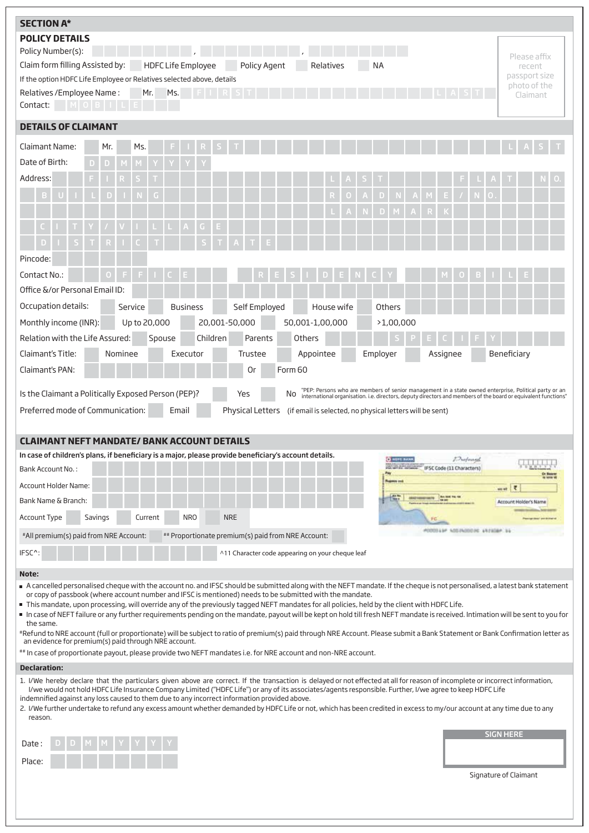| <b>SECTION A*</b>                                                                                                                                                                                                                                                                                                                        |         |              |                           |            |                                                    |                                                                                                                                                                                                                               |            |               |                    |                                                  |          |           |                   |             |                               |  |
|------------------------------------------------------------------------------------------------------------------------------------------------------------------------------------------------------------------------------------------------------------------------------------------------------------------------------------------|---------|--------------|---------------------------|------------|----------------------------------------------------|-------------------------------------------------------------------------------------------------------------------------------------------------------------------------------------------------------------------------------|------------|---------------|--------------------|--------------------------------------------------|----------|-----------|-------------------|-------------|-------------------------------|--|
| <b>POLICY DETAILS</b>                                                                                                                                                                                                                                                                                                                    |         |              |                           |            |                                                    |                                                                                                                                                                                                                               |            |               |                    |                                                  |          |           |                   |             |                               |  |
| Policy Number(s):                                                                                                                                                                                                                                                                                                                        |         |              |                           |            |                                                    |                                                                                                                                                                                                                               |            |               |                    |                                                  |          |           |                   |             | Please affix                  |  |
| Claim form filling Assisted by:                                                                                                                                                                                                                                                                                                          |         |              | <b>HDFC Life Employee</b> |            | Policy Agent                                       |                                                                                                                                                                                                                               | Relatives  | NA            |                    |                                                  |          |           |                   |             | recent                        |  |
| If the option HDFC Life Employee or Relatives selected above, details                                                                                                                                                                                                                                                                    |         |              |                           |            |                                                    |                                                                                                                                                                                                                               |            |               |                    |                                                  |          |           |                   |             | passport size<br>photo of the |  |
| Relatives / Employee Name:                                                                                                                                                                                                                                                                                                               |         | Mr.          | Ms.                       |            |                                                    |                                                                                                                                                                                                                               |            |               |                    |                                                  |          |           |                   |             | Claimant                      |  |
| Contact:                                                                                                                                                                                                                                                                                                                                 |         |              |                           |            |                                                    |                                                                                                                                                                                                                               |            |               |                    |                                                  |          |           |                   |             |                               |  |
| <b>DETAILS OF CLAIMANT</b>                                                                                                                                                                                                                                                                                                               |         |              |                           |            |                                                    |                                                                                                                                                                                                                               |            |               |                    |                                                  |          |           |                   |             |                               |  |
| Claimant Name:                                                                                                                                                                                                                                                                                                                           | Mr.     | Ms.          |                           |            |                                                    |                                                                                                                                                                                                                               |            |               |                    |                                                  |          |           |                   |             |                               |  |
| Date of Birth:<br>D                                                                                                                                                                                                                                                                                                                      |         |              |                           |            |                                                    |                                                                                                                                                                                                                               |            |               |                    |                                                  |          |           |                   |             |                               |  |
| Address:                                                                                                                                                                                                                                                                                                                                 |         |              |                           |            |                                                    |                                                                                                                                                                                                                               |            |               |                    |                                                  |          |           |                   |             |                               |  |
|                                                                                                                                                                                                                                                                                                                                          |         |              |                           |            |                                                    |                                                                                                                                                                                                                               |            |               |                    |                                                  |          |           |                   |             |                               |  |
|                                                                                                                                                                                                                                                                                                                                          |         |              |                           |            |                                                    |                                                                                                                                                                                                                               |            | D             |                    |                                                  |          |           |                   |             |                               |  |
|                                                                                                                                                                                                                                                                                                                                          |         |              |                           | G          |                                                    |                                                                                                                                                                                                                               |            |               |                    |                                                  |          |           |                   |             |                               |  |
|                                                                                                                                                                                                                                                                                                                                          |         |              |                           |            |                                                    |                                                                                                                                                                                                                               |            |               |                    |                                                  |          |           |                   |             |                               |  |
| Pincode:                                                                                                                                                                                                                                                                                                                                 |         |              |                           |            |                                                    |                                                                                                                                                                                                                               |            |               |                    |                                                  |          |           |                   |             |                               |  |
| Contact No.:                                                                                                                                                                                                                                                                                                                             |         |              |                           |            |                                                    |                                                                                                                                                                                                                               |            |               |                    |                                                  |          |           |                   |             |                               |  |
| Office &/or Personal Email ID:                                                                                                                                                                                                                                                                                                           |         |              |                           |            |                                                    |                                                                                                                                                                                                                               |            |               |                    |                                                  |          |           |                   |             |                               |  |
| Occupation details:                                                                                                                                                                                                                                                                                                                      |         | Service      | <b>Business</b>           |            | Self Employed                                      |                                                                                                                                                                                                                               | House wife | <b>Others</b> |                    |                                                  |          |           |                   |             |                               |  |
| Monthly income (INR):                                                                                                                                                                                                                                                                                                                    |         | Up to 20,000 |                           |            | 20,001-50,000                                      | 50,001-1,00,000                                                                                                                                                                                                               |            |               | >1,00,000          |                                                  |          |           |                   |             |                               |  |
| Relation with the Life Assured:                                                                                                                                                                                                                                                                                                          |         | Spouse       |                           | Children   | Parents                                            | Others                                                                                                                                                                                                                        |            |               |                    |                                                  |          |           |                   |             |                               |  |
| Claimant's Title:                                                                                                                                                                                                                                                                                                                        | Nominee |              | Executor                  |            | Trustee                                            | Appointee                                                                                                                                                                                                                     |            | Employer      |                    |                                                  | Assignee |           |                   | Beneficiary |                               |  |
| Claimant's PAN:                                                                                                                                                                                                                                                                                                                          |         |              |                           |            | 0r                                                 | Form <sub>60</sub>                                                                                                                                                                                                            |            |               |                    |                                                  |          |           |                   |             |                               |  |
|                                                                                                                                                                                                                                                                                                                                          |         |              |                           |            |                                                    |                                                                                                                                                                                                                               |            |               |                    |                                                  |          |           |                   |             |                               |  |
| Is the Claimant a Politically Exposed Person (PEP)?                                                                                                                                                                                                                                                                                      |         |              |                           |            |                                                    |                                                                                                                                                                                                                               |            |               |                    |                                                  |          |           |                   |             |                               |  |
|                                                                                                                                                                                                                                                                                                                                          |         |              |                           |            | Yes                                                | "PEP: Persons who are members of senior management in a state owned enterprise, Political party or an<br>international organisation. i.e. directors, deputy directors and members of the board or equivalent functions"<br>No |            |               |                    |                                                  |          |           |                   |             |                               |  |
| Preferred mode of Communication:                                                                                                                                                                                                                                                                                                         |         |              | Email                     |            | <b>Physical Letters</b>                            | (if email is selected, no physical letters will be sent)                                                                                                                                                                      |            |               |                    |                                                  |          |           |                   |             |                               |  |
|                                                                                                                                                                                                                                                                                                                                          |         |              |                           |            |                                                    |                                                                                                                                                                                                                               |            |               |                    |                                                  |          |           |                   |             |                               |  |
| <b>CLAIMANT NEFT MANDATE/ BANK ACCOUNT DETAILS</b>                                                                                                                                                                                                                                                                                       |         |              |                           |            |                                                    |                                                                                                                                                                                                                               |            |               |                    |                                                  |          |           |                   |             |                               |  |
| In case of children's plans, if beneficiary is a major, please provide beneficiary's account details.                                                                                                                                                                                                                                    |         |              |                           |            |                                                    |                                                                                                                                                                                                                               |            |               | <b>CENTER BANK</b> |                                                  |          | Professed |                   |             |                               |  |
| Bank Account No.:                                                                                                                                                                                                                                                                                                                        |         |              |                           |            |                                                    |                                                                                                                                                                                                                               |            |               |                    | IFSC Code (11 Characters)                        |          |           |                   |             |                               |  |
| Account Holder Name:                                                                                                                                                                                                                                                                                                                     |         |              |                           |            |                                                    |                                                                                                                                                                                                                               |            |               |                    |                                                  |          |           | we are            | R           |                               |  |
| Bank Name & Branch:                                                                                                                                                                                                                                                                                                                      |         |              |                           |            |                                                    |                                                                                                                                                                                                                               |            |               |                    | <b>HOLD COUNTERFORM POLICE CARDS FOR THE THE</b> |          |           |                   |             | Account Holder's Name         |  |
| Account Type<br>Savings                                                                                                                                                                                                                                                                                                                  |         | Current      |                           | <b>NRO</b> | <b>NRE</b>                                         |                                                                                                                                                                                                                               |            |               |                    |                                                  |          |           |                   |             |                               |  |
| #All premium(s) paid from NRE Account:                                                                                                                                                                                                                                                                                                   |         |              |                           |            | ## Proportionate premium(s) paid from NRE Account: |                                                                                                                                                                                                                               |            |               |                    | <b>MODDELLAP</b>                                 |          |           | ADDINGTOR LATERAT |             |                               |  |
| IFSC <sup>^</sup> :                                                                                                                                                                                                                                                                                                                      |         |              |                           |            | ^11 Character code appearing on your cheque leaf   |                                                                                                                                                                                                                               |            |               |                    |                                                  |          |           |                   |             |                               |  |
|                                                                                                                                                                                                                                                                                                                                          |         |              |                           |            |                                                    |                                                                                                                                                                                                                               |            |               |                    |                                                  |          |           |                   |             |                               |  |
| Note:<br>A cancelled personalised cheque with the account no. and IFSC should be submitted along with the NEFT mandate. If the cheque is not personalised, a latest bank statement                                                                                                                                                       |         |              |                           |            |                                                    |                                                                                                                                                                                                                               |            |               |                    |                                                  |          |           |                   |             |                               |  |
| or copy of passbook (where account number and IFSC is mentioned) needs to be submitted with the mandate.                                                                                                                                                                                                                                 |         |              |                           |            |                                                    |                                                                                                                                                                                                                               |            |               |                    |                                                  |          |           |                   |             |                               |  |
| This mandate, upon processing, will override any of the previously tagged NEFT mandates for all policies, held by the client with HDFC Life.<br>In case of NEFT failure or any further requirements pending on the mandate, payout will be kept on hold till fresh NEFT mandate is received. Intimation will be sent to you for          |         |              |                           |            |                                                    |                                                                                                                                                                                                                               |            |               |                    |                                                  |          |           |                   |             |                               |  |
| the same.                                                                                                                                                                                                                                                                                                                                |         |              |                           |            |                                                    |                                                                                                                                                                                                                               |            |               |                    |                                                  |          |           |                   |             |                               |  |
| #Refund to NRE account (full or proportionate) will be subject to ratio of premium(s) paid through NRE Account. Please submit a Bank Statement or Bank Confirmation letter as<br>an evidence for premium(s) paid through NRE account.                                                                                                    |         |              |                           |            |                                                    |                                                                                                                                                                                                                               |            |               |                    |                                                  |          |           |                   |             |                               |  |
| ## In case of proportionate payout, please provide two NEFT mandates i.e. for NRE account and non-NRE account.                                                                                                                                                                                                                           |         |              |                           |            |                                                    |                                                                                                                                                                                                                               |            |               |                    |                                                  |          |           |                   |             |                               |  |
| <b>Declaration:</b>                                                                                                                                                                                                                                                                                                                      |         |              |                           |            |                                                    |                                                                                                                                                                                                                               |            |               |                    |                                                  |          |           |                   |             |                               |  |
| 1. I/We hereby declare that the particulars given above are correct. If the transaction is delayed or not effected at all for reason of incomplete or incorrect information,<br>I/we would not hold HDFC Life Insurance Company Limited ("HDFC Life") or any of its associates/agents responsible. Further, I/we agree to keep HDFC Life |         |              |                           |            |                                                    |                                                                                                                                                                                                                               |            |               |                    |                                                  |          |           |                   |             |                               |  |
| indemnified against any loss caused to them due to any incorrect information provided above.                                                                                                                                                                                                                                             |         |              |                           |            |                                                    |                                                                                                                                                                                                                               |            |               |                    |                                                  |          |           |                   |             |                               |  |
| 2. I/We further undertake to refund any excess amount whether demanded by HDFC Life or not, which has been credited in excess to my/our account at any time due to any<br>reason.                                                                                                                                                        |         |              |                           |            |                                                    |                                                                                                                                                                                                                               |            |               |                    |                                                  |          |           |                   |             |                               |  |
|                                                                                                                                                                                                                                                                                                                                          |         |              |                           |            |                                                    |                                                                                                                                                                                                                               |            |               |                    |                                                  |          |           | <b>SIGN HERE</b>  |             |                               |  |
| Date                                                                                                                                                                                                                                                                                                                                     |         |              |                           |            |                                                    |                                                                                                                                                                                                                               |            |               |                    |                                                  |          |           |                   |             |                               |  |
| Place:                                                                                                                                                                                                                                                                                                                                   |         |              |                           |            |                                                    |                                                                                                                                                                                                                               |            |               |                    |                                                  |          |           |                   |             |                               |  |
|                                                                                                                                                                                                                                                                                                                                          |         |              |                           |            |                                                    |                                                                                                                                                                                                                               |            |               |                    |                                                  |          |           |                   |             | Signature of Claimant         |  |
|                                                                                                                                                                                                                                                                                                                                          |         |              |                           |            |                                                    |                                                                                                                                                                                                                               |            |               |                    |                                                  |          |           |                   |             |                               |  |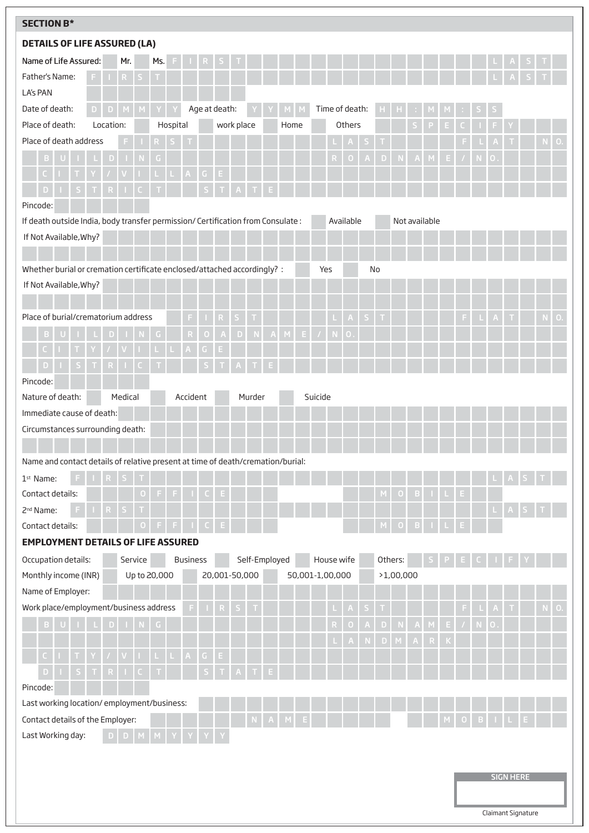| <b>SECTION B*</b>                                                               |                             |                            |                |                  |                  |           |                |                  |                    |
|---------------------------------------------------------------------------------|-----------------------------|----------------------------|----------------|------------------|------------------|-----------|----------------|------------------|--------------------|
| <b>DETAILS OF LIFE ASSURED (LA)</b>                                             |                             |                            |                |                  |                  |           |                |                  |                    |
| Name of Life Assured:<br>Mr.<br>Ms.                                             |                             |                            |                |                  |                  |           |                |                  |                    |
| Father's Name:<br>F.<br>R.                                                      |                             |                            |                |                  |                  |           |                |                  |                    |
| LA's PAN                                                                        |                             |                            |                |                  |                  |           |                |                  |                    |
| Age at death:<br>Date of death:<br>D<br>D                                       | Time of death:              |                            |                |                  |                  |           |                |                  |                    |
| Place of death:<br>work place<br>Location:<br>Hospital<br>Home                  | Others                      |                            |                |                  |                  |           |                |                  |                    |
| Place of death address                                                          |                             |                            |                |                  |                  |           |                |                  | O                  |
|                                                                                 | A                           |                            |                | E                |                  |           | 0              |                  |                    |
| G.<br>E.<br>A                                                                   |                             |                            |                |                  |                  |           |                |                  |                    |
|                                                                                 |                             |                            |                |                  |                  |           |                |                  |                    |
| Pincode:                                                                        |                             |                            |                |                  |                  |           |                |                  |                    |
| If death outside India, body transfer permission/ Certification from Consulate: | Available                   |                            | Not available  |                  |                  |           |                |                  |                    |
| If Not Available, Why?                                                          |                             |                            |                |                  |                  |           |                |                  |                    |
|                                                                                 |                             |                            |                |                  |                  |           |                |                  |                    |
| Whether burial or cremation certificate enclosed/attached accordingly? :        | Yes                         | No                         |                |                  |                  |           |                |                  |                    |
| If Not Available, Why?                                                          |                             |                            |                |                  |                  |           |                |                  |                    |
|                                                                                 |                             |                            |                |                  |                  |           |                |                  |                    |
| Place of burial/crematorium address                                             | S                           |                            |                |                  | F.               |           |                |                  | $\mathbf{O}$<br>N. |
| $\boldsymbol{\mathsf{A}}$<br>E.<br>M<br>R<br>N.<br>D.<br>۰                      | $\Box$                      |                            |                |                  |                  |           |                |                  |                    |
|                                                                                 |                             |                            |                |                  |                  |           |                |                  |                    |
| D                                                                               |                             |                            |                |                  |                  |           |                |                  |                    |
| Pincode:                                                                        |                             |                            |                |                  |                  |           |                |                  |                    |
| Nature of death:<br>Medical<br>Accident<br>Murder                               | Suicide                     |                            |                |                  |                  |           |                |                  |                    |
| Immediate cause of death:                                                       |                             |                            |                |                  |                  |           |                |                  |                    |
| Circumstances surrounding death:                                                |                             |                            |                |                  |                  |           |                |                  |                    |
|                                                                                 |                             |                            |                |                  |                  |           |                |                  |                    |
| Name and contact details of relative present at time of death/cremation/burial: |                             |                            |                |                  |                  |           |                |                  |                    |
| 1 <sup>st</sup> Name:                                                           |                             |                            |                |                  |                  |           |                |                  |                    |
| Contact details:<br>О<br>F.                                                     |                             | $\circ$<br>M               | $\mathbf{B}$   |                  | Е.               |           |                |                  |                    |
| 2 <sup>nd</sup> Name:                                                           |                             |                            |                |                  |                  |           |                | $\mathsf{A}$     |                    |
| Contact details:                                                                |                             | $\circ$                    | B              |                  |                  |           |                |                  |                    |
| <b>EMPLOYMENT DETAILS OF LIFE ASSURED</b>                                       |                             |                            |                |                  |                  |           |                |                  |                    |
| Service<br><b>Business</b><br>Self-Employed<br>Occupation details:              | House wife                  | Others:                    |                |                  |                  |           |                |                  |                    |
| Up to 20,000<br>20,001-50,000<br>Monthly income (INR)                           | 50,001-1,00,000             | >1,00,000                  |                |                  |                  |           |                |                  |                    |
| Name of Employer:                                                               |                             |                            |                |                  |                  |           |                |                  |                    |
| Work place/employment/business address<br>$R_{\parallel}$<br>S                  | $\mathsf S$<br>$\mathsf{A}$ |                            |                |                  | F.               |           |                |                  | 0.                 |
| D                                                                               | A<br>0<br>R                 | $\mathsf D$<br>${\bf N}$   | $\overline{A}$ | $\mathsf{E}$     | $\boldsymbol{I}$ | ${\sf N}$ | $\overline{O}$ |                  |                    |
|                                                                                 | $\mathsf{N}$                | $\mathsf D$<br>$M_{\odot}$ | $\mathsf{A}$   | $\mathsf K$<br>R |                  |           |                |                  |                    |
| $A -$<br>G.<br>E.<br><b>L</b>                                                   |                             |                            |                |                  |                  |           |                |                  |                    |
| $\mathsf D$                                                                     |                             |                            |                |                  |                  |           |                |                  |                    |
| Pincode:                                                                        |                             |                            |                |                  |                  |           |                |                  |                    |
| Last working location/employment/business:                                      |                             |                            |                |                  |                  |           |                |                  |                    |
| Contact details of the Employer:                                                |                             |                            |                |                  |                  |           |                |                  |                    |
| Last Working day:<br>D.<br>D                                                    |                             |                            |                |                  |                  |           |                |                  |                    |
|                                                                                 |                             |                            |                |                  |                  |           |                |                  |                    |
|                                                                                 |                             |                            |                |                  |                  |           |                | <b>SIGN HERE</b> |                    |
|                                                                                 |                             |                            |                |                  |                  |           |                |                  |                    |
|                                                                                 |                             |                            |                |                  |                  |           |                |                  |                    |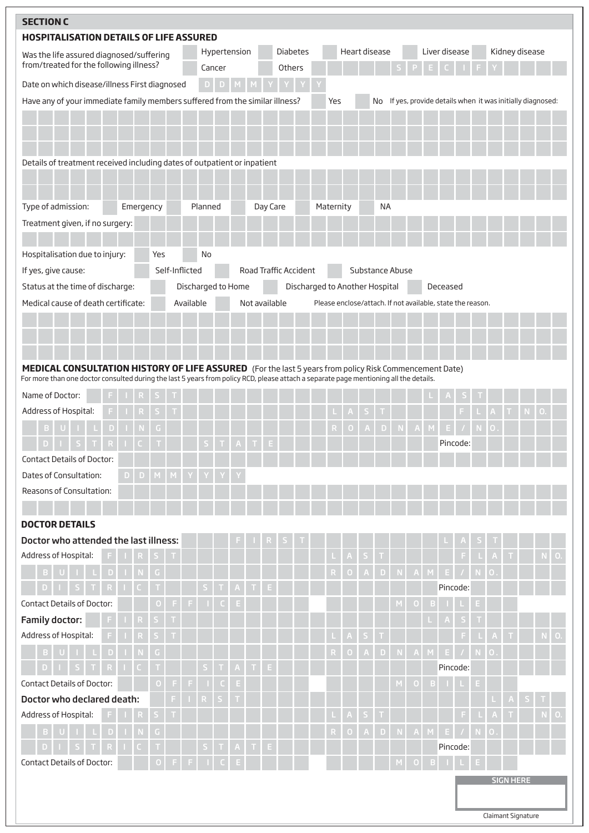| <b>SECTION C</b>                                                                                                                                                                                                                                |                   |                |                    |         |              |   |   |                       |        |                 |                                |           |  |                                                             |   |        |               |          |               |    |        |                  |                    |    |
|-------------------------------------------------------------------------------------------------------------------------------------------------------------------------------------------------------------------------------------------------|-------------------|----------------|--------------------|---------|--------------|---|---|-----------------------|--------|-----------------|--------------------------------|-----------|--|-------------------------------------------------------------|---|--------|---------------|----------|---------------|----|--------|------------------|--------------------|----|
| <b>HOSPITALISATION DETAILS OF LIFE ASSURED</b>                                                                                                                                                                                                  |                   |                |                    |         |              |   |   |                       |        |                 |                                |           |  |                                                             |   |        |               |          |               |    |        |                  |                    |    |
| Was the life assured diagnosed/suffering                                                                                                                                                                                                        |                   |                |                    |         | Hypertension |   |   |                       |        | <b>Diabetes</b> |                                |           |  | Heart disease                                               |   |        | Liver disease |          |               |    |        |                  | Kidney disease     |    |
| from/treated for the following illness?                                                                                                                                                                                                         |                   |                |                    |         | Cancer       |   |   |                       | Others |                 |                                |           |  |                                                             |   |        |               |          |               |    |        |                  |                    |    |
| Date on which disease/illness First diagnosed                                                                                                                                                                                                   |                   |                |                    | D       | D            |   |   |                       |        |                 |                                |           |  |                                                             |   |        |               |          |               |    |        |                  |                    |    |
| Have any of your immediate family members suffered from the similar illness?                                                                                                                                                                    |                   |                |                    |         |              |   |   |                       |        |                 |                                | Yes       |  | No If yes, provide details when it was initially diagnosed: |   |        |               |          |               |    |        |                  |                    |    |
| Details of treatment received including dates of outpatient or inpatient                                                                                                                                                                        |                   |                |                    |         |              |   |   |                       |        |                 |                                |           |  |                                                             |   |        |               |          |               |    |        |                  |                    |    |
| Type of admission:                                                                                                                                                                                                                              | Emergency         |                |                    | Planned |              |   |   | Day Care              |        |                 |                                | Maternity |  | <b>NA</b>                                                   |   |        |               |          |               |    |        |                  |                    |    |
| Treatment given, if no surgery:                                                                                                                                                                                                                 |                   |                |                    |         |              |   |   |                       |        |                 |                                |           |  |                                                             |   |        |               |          |               |    |        |                  |                    |    |
| Hospitalisation due to injury:                                                                                                                                                                                                                  | Yes               |                |                    | No      |              |   |   |                       |        |                 |                                |           |  |                                                             |   |        |               |          |               |    |        |                  |                    |    |
| If yes, give cause:                                                                                                                                                                                                                             |                   | Self-Inflicted |                    |         |              |   |   | Road Traffic Accident |        |                 |                                |           |  | Substance Abuse                                             |   |        |               |          |               |    |        |                  |                    |    |
| Status at the time of discharge:                                                                                                                                                                                                                |                   |                | Discharged to Home |         |              |   |   |                       |        |                 | Discharged to Another Hospital |           |  |                                                             |   |        |               | Deceased |               |    |        |                  |                    |    |
| Medical cause of death certificate:                                                                                                                                                                                                             |                   |                | Available          |         |              |   |   | Not available         |        |                 |                                |           |  | Please enclose/attach. If not available, state the reason.  |   |        |               |          |               |    |        |                  |                    |    |
|                                                                                                                                                                                                                                                 |                   |                |                    |         |              |   |   |                       |        |                 |                                |           |  |                                                             |   |        |               |          |               |    |        |                  |                    |    |
| MEDICAL CONSULTATION HISTORY OF LIFE ASSURED (For the last 5 years from policy Risk Commencement Date)<br>For more than one doctor consulted during the last 5 years from policy RCD, please attach a separate page mentioning all the details. |                   |                |                    |         |              |   |   |                       |        |                 |                                |           |  |                                                             |   |        |               |          |               |    |        |                  |                    |    |
| Name of Doctor:                                                                                                                                                                                                                                 |                   |                |                    |         |              |   |   |                       |        |                 |                                |           |  |                                                             |   |        |               |          |               |    |        |                  |                    |    |
| Address of Hospital:                                                                                                                                                                                                                            |                   |                |                    |         |              |   |   |                       |        |                 |                                |           |  |                                                             |   |        |               |          |               |    |        |                  |                    |    |
|                                                                                                                                                                                                                                                 |                   |                |                    |         |              |   |   |                       |        |                 |                                |           |  |                                                             |   |        |               |          |               |    |        |                  |                    |    |
|                                                                                                                                                                                                                                                 |                   |                |                    |         |              |   |   |                       |        |                 |                                |           |  |                                                             |   |        |               |          | Pincode:      |    |        |                  |                    |    |
| <b>Contact Details of Doctor:</b>                                                                                                                                                                                                               |                   |                |                    |         |              |   |   |                       |        |                 |                                |           |  |                                                             |   |        |               |          |               |    |        |                  |                    |    |
| Dates of Consultation:<br>D.                                                                                                                                                                                                                    | D.<br>$M_{\odot}$ | M              |                    |         |              |   |   |                       |        |                 |                                |           |  |                                                             |   |        |               |          |               |    |        |                  |                    |    |
| Reasons of Consultation:                                                                                                                                                                                                                        |                   |                |                    |         |              |   |   |                       |        |                 |                                |           |  |                                                             |   |        |               |          |               |    |        |                  |                    |    |
| <b>DOCTOR DETAILS</b>                                                                                                                                                                                                                           |                   |                |                    |         |              |   |   |                       |        |                 |                                |           |  |                                                             |   |        |               |          |               |    |        |                  |                    |    |
| Doctor who attended the last illness:                                                                                                                                                                                                           |                   |                |                    |         |              |   |   |                       |        |                 |                                |           |  |                                                             |   |        |               |          |               |    |        |                  |                    |    |
| Address of Hospital:                                                                                                                                                                                                                            |                   |                |                    |         |              |   |   |                       |        |                 |                                |           |  |                                                             |   |        |               |          | F             |    |        |                  |                    | 0. |
| D                                                                                                                                                                                                                                               |                   |                |                    |         |              |   |   |                       |        |                 |                                |           |  |                                                             |   | A      |               |          | $\mathcal{L}$ |    | 0      |                  |                    |    |
| D                                                                                                                                                                                                                                               |                   |                |                    |         |              |   | T | E                     |        |                 |                                |           |  |                                                             |   |        |               | Pincode: |               |    |        |                  |                    |    |
| <b>Contact Details of Doctor:</b>                                                                                                                                                                                                               | O                 |                |                    |         |              | Е |   |                       |        |                 |                                |           |  |                                                             |   |        |               |          |               | E  |        |                  |                    |    |
| <b>Family doctor:</b>                                                                                                                                                                                                                           |                   |                |                    |         |              |   |   |                       |        |                 |                                |           |  |                                                             |   |        |               |          |               |    |        |                  |                    |    |
| Address of Hospital:                                                                                                                                                                                                                            | R,                |                |                    |         |              |   |   |                       |        |                 |                                |           |  |                                                             |   |        |               |          | F             |    |        |                  |                    | O  |
| $\mathbf{D}$<br>в<br>L.                                                                                                                                                                                                                         |                   |                |                    |         |              |   |   |                       |        |                 |                                |           |  |                                                             |   |        |               | E.       |               |    | 0      |                  |                    |    |
| D                                                                                                                                                                                                                                               |                   |                |                    |         |              |   |   | Е                     |        |                 |                                |           |  |                                                             |   |        |               | Pincode: |               |    |        |                  |                    |    |
| <b>Contact Details of Doctor:</b>                                                                                                                                                                                                               | 0                 |                | F,                 |         |              | Е |   |                       |        |                 |                                |           |  |                                                             | M | $\Box$ |               |          |               | E. |        |                  |                    |    |
| Doctor who declared death:                                                                                                                                                                                                                      |                   |                |                    | R       |              |   |   |                       |        |                 |                                |           |  |                                                             |   |        |               |          |               |    |        |                  |                    |    |
| Address of Hospital:                                                                                                                                                                                                                            |                   |                |                    |         |              |   |   |                       |        |                 |                                |           |  |                                                             |   |        |               |          | F             |    |        |                  |                    | 0. |
| D                                                                                                                                                                                                                                               | G                 |                |                    |         |              |   |   |                       |        |                 |                                |           |  |                                                             |   |        |               |          |               |    | $\Box$ |                  |                    |    |
|                                                                                                                                                                                                                                                 |                   |                |                    |         |              |   |   |                       |        |                 |                                |           |  |                                                             |   |        |               | Pincode: |               |    |        |                  |                    |    |
| Contact Details of Doctor:                                                                                                                                                                                                                      |                   |                |                    |         |              |   |   |                       |        |                 |                                |           |  |                                                             |   |        |               |          |               |    |        |                  |                    |    |
|                                                                                                                                                                                                                                                 |                   |                |                    |         |              |   |   |                       |        |                 |                                |           |  |                                                             |   |        |               |          |               |    |        | <b>SIGN HERE</b> |                    |    |
|                                                                                                                                                                                                                                                 |                   |                |                    |         |              |   |   |                       |        |                 |                                |           |  |                                                             |   |        |               |          |               |    |        |                  | Claimant Signature |    |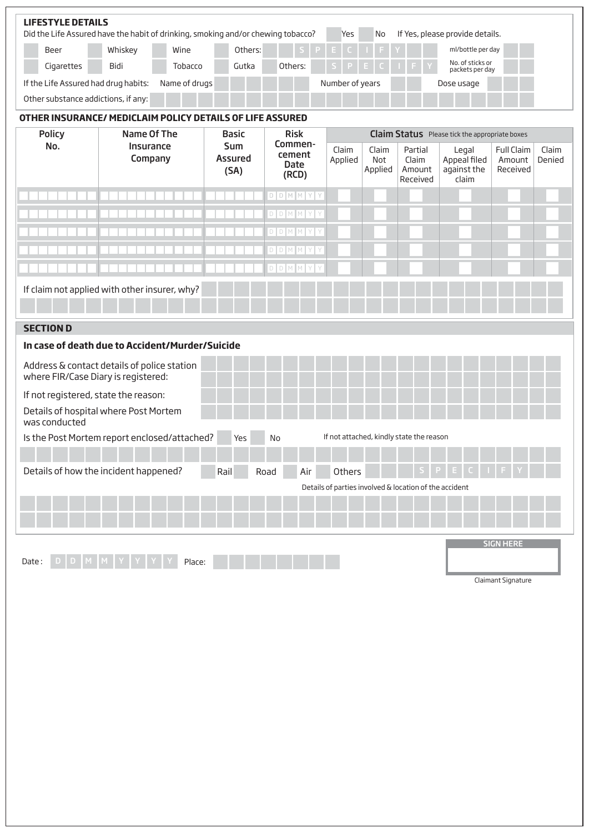|                                                                                        | <b>LIFESTYLE DETAILS</b><br>Did the Life Assured have the habit of drinking, smoking and/or chewing tobacco?<br>If Yes, please provide details.<br>Yes<br>No |      |         |       |         |  |  |      |  |  |                                     |
|----------------------------------------------------------------------------------------|--------------------------------------------------------------------------------------------------------------------------------------------------------------|------|---------|-------|---------|--|--|------|--|--|-------------------------------------|
|                                                                                        | Whiskey<br>$S$ $P$ $E$ $C$ $I$ $I$ $F$ $I$ $Y$ $I$<br>Others:<br>Wine<br>Beer                                                                                |      |         |       |         |  |  |      |  |  | ml/bottle per day                   |
|                                                                                        | Cigarettes                                                                                                                                                   | Bidi | Tobacco | Gutka | Others: |  |  | SPEC |  |  | No. of sticks or<br>packets per day |
| If the Life Assured had drug habits:<br>Number of years<br>Name of drugs<br>Dose usage |                                                                                                                                                              |      |         |       |         |  |  |      |  |  |                                     |
|                                                                                        | Other substance addictions, if any:                                                                                                                          |      |         |       |         |  |  |      |  |  |                                     |

# **OTHER INSURANCE/ MEDICLAIM POLICY DETAILS OF LIFE ASSURED**

| <b>Policy</b>                        | Name Of The                                     | <b>Basic</b>                         | <b>Risk</b>                               |                  |                         |                                                        | <b>Claim Status</b> Please tick the appropriate boxes |                                         |                 |
|--------------------------------------|-------------------------------------------------|--------------------------------------|-------------------------------------------|------------------|-------------------------|--------------------------------------------------------|-------------------------------------------------------|-----------------------------------------|-----------------|
| No.                                  | Insurance<br>Company                            | <b>Sum</b><br><b>Assured</b><br>(SA) | Commen-<br>cement<br><b>Date</b><br>(RCD) | Claim<br>Applied | Claim<br>Not<br>Applied | Partial<br>Claim<br>Amount<br>Received                 | Legal<br>Appeal filed<br>against the<br>claim         | <b>Full Claim</b><br>Amount<br>Received | Claim<br>Denied |
|                                      |                                                 |                                      | D D M M Y Y                               |                  |                         |                                                        |                                                       |                                         |                 |
|                                      |                                                 |                                      | D D M M Y Y                               |                  |                         |                                                        |                                                       |                                         |                 |
|                                      |                                                 |                                      | D D M M Y Y                               |                  |                         |                                                        |                                                       |                                         |                 |
|                                      |                                                 |                                      | D D M M Y Y                               |                  |                         |                                                        |                                                       |                                         |                 |
|                                      |                                                 |                                      | D D M M Y Y                               |                  |                         |                                                        |                                                       |                                         |                 |
|                                      | If claim not applied with other insurer, why?   |                                      |                                           |                  |                         |                                                        |                                                       |                                         |                 |
| <b>SECTION D</b>                     |                                                 |                                      |                                           |                  |                         |                                                        |                                                       |                                         |                 |
|                                      | In case of death due to Accident/Murder/Suicide |                                      |                                           |                  |                         |                                                        |                                                       |                                         |                 |
| where FIR/Case Diary is registered:  | Address & contact details of police station     |                                      |                                           |                  |                         |                                                        |                                                       |                                         |                 |
| If not registered, state the reason: |                                                 |                                      |                                           |                  |                         |                                                        |                                                       |                                         |                 |
| was conducted                        | Details of hospital where Post Mortem           |                                      |                                           |                  |                         |                                                        |                                                       |                                         |                 |
|                                      | Is the Post Mortem report enclosed/attached?    | Yes                                  | No                                        |                  |                         | If not attached, kindly state the reason               |                                                       |                                         |                 |
|                                      | Details of how the incident happened?           | Rail                                 | Road<br>Air                               | Others           |                         |                                                        |                                                       |                                         |                 |
|                                      |                                                 |                                      |                                           |                  |                         | Details of parties involved & location of the accident |                                                       |                                         |                 |
|                                      |                                                 |                                      |                                           |                  |                         |                                                        |                                                       |                                         |                 |
| Date:                                | Place:                                          |                                      |                                           |                  |                         |                                                        |                                                       | <b>SIGN HERE</b>                        |                 |

Claimant Signature